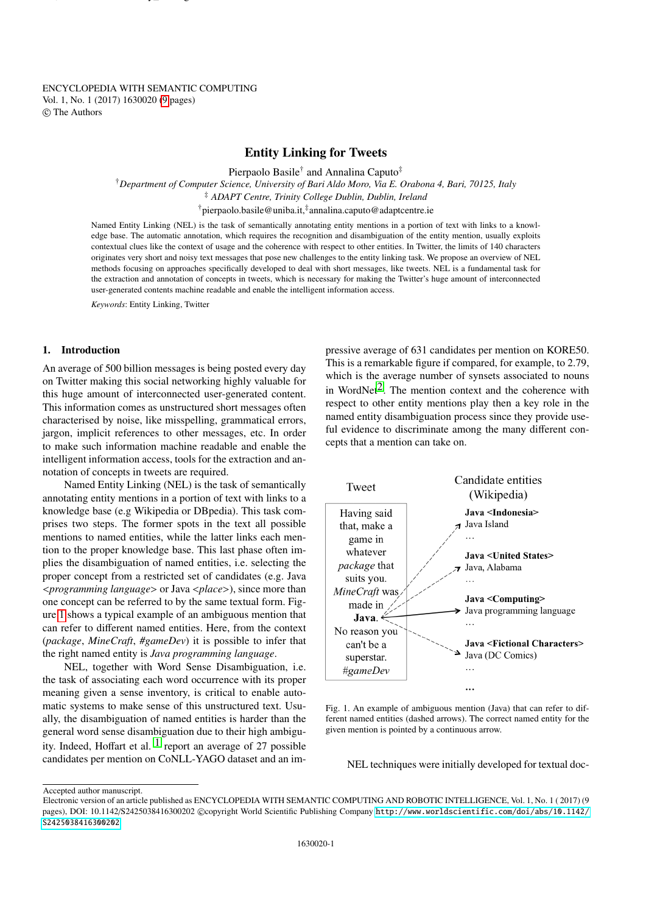# ENCYCLOPEDIA WITH SEMANTIC COMPUTING Vol. 1, No. 1 (2017) 1630020 [\(9](#page-6-0) pages) © The Authors

 $\mathcal{I}$  and 28, 2018 12:25 entity linking 28, 2018 12:25 entity linking 28, 2018 12:25 entity linking 2018 12:25 entity linking 2018 12:25 entity linking 2018 12:25 entity linking 2018 12:25 entity linking 2018 12:25 ent

# Entity Linking for Tweets

Pierpaolo Basile<sup>†</sup> and Annalina Caputo<sup>‡</sup> †*Department of Computer Science, University of Bari Aldo Moro, Via E. Orabona 4, Bari, 70125, Italy* ‡ *ADAPT Centre, Trinity College Dublin, Dublin, Ireland* †pierpaolo.basile@uniba.it,‡ annalina.caputo@adaptcentre.ie

Named Entity Linking (NEL) is the task of semantically annotating entity mentions in a portion of text with links to a knowledge base. The automatic annotation, which requires the recognition and disambiguation of the entity mention, usually exploits contextual clues like the context of usage and the coherence with respect to other entities. In Twitter, the limits of 140 characters originates very short and noisy text messages that pose new challenges to the entity linking task. We propose an overview of NEL methods focusing on approaches specifically developed to deal with short messages, like tweets. NEL is a fundamental task for the extraction and annotation of concepts in tweets, which is necessary for making the Twitter's huge amount of interconnected user-generated contents machine readable and enable the intelligent information access.

*Keywords*: Entity Linking, Twitter

## 1. Introduction

An average of 500 billion messages is being posted every day on Twitter making this social networking highly valuable for this huge amount of interconnected user-generated content. This information comes as unstructured short messages often characterised by noise, like misspelling, grammatical errors, jargon, implicit references to other messages, etc. In order to make such information machine readable and enable the intelligent information access, tools for the extraction and annotation of concepts in tweets are required.

Named Entity Linking (NEL) is the task of semantically annotating entity mentions in a portion of text with links to a knowledge base (e.g Wikipedia or DBpedia). This task comprises two steps. The former spots in the text all possible mentions to named entities, while the latter links each mention to the proper knowledge base. This last phase often implies the disambiguation of named entities, i.e. selecting the proper concept from a restricted set of candidates (e.g. Java <*programming language*> or Java <*place*>), since more than one concept can be referred to by the same textual form. Figure [1](#page-0-0) shows a typical example of an ambiguous mention that can refer to different named entities. Here, from the context (*package*, *MineCraft*, *#gameDev*) it is possible to infer that the right named entity is *Java programming language*.

NEL, together with Word Sense Disambiguation, i.e. the task of associating each word occurrence with its proper meaning given a sense inventory, is critical to enable automatic systems to make sense of this unstructured text. Usually, the disambiguation of named entities is harder than the general word sense disambiguation due to their high ambiguity. Indeed, Hoffart et al.  $<sup>1</sup>$  $<sup>1</sup>$  $<sup>1</sup>$  report an average of 27 possible</sup> candidates per mention on CoNLL-YAGO dataset and an impressive average of 631 candidates per mention on KORE50. This is a remarkable figure if compared, for example, to 2.79, which is the average number of synsets associated to nouns in WordNet<sup>2</sup>. The mention context and the coherence with respect to other entity mentions play then a key role in the named entity disambiguation process since they provide useful evidence to discriminate among the many different concepts that a mention can take on.



<span id="page-0-0"></span>Fig. 1. An example of ambiguous mention (Java) that can refer to different named entities (dashed arrows). The correct named entity for the given mention is pointed by a continuous arrow.

NEL techniques were initially developed for textual doc-

Accepted author manuscript.

Electronic version of an article published as ENCYCLOPEDIA WITH SEMANTIC COMPUTING AND ROBOTIC INTELLIGENCE, Vol. 1, No. 1 ( 2017) (9 pages), DOI: 10.1142/S2425038416300202 @copyright World Scientific Publishing Company [http://www.worldscientific.com/doi/abs/10.1142/](http://www.worldscientific.com/doi/abs/10.1142/S2425038416300202) [S2425038416300202](http://www.worldscientific.com/doi/abs/10.1142/S2425038416300202)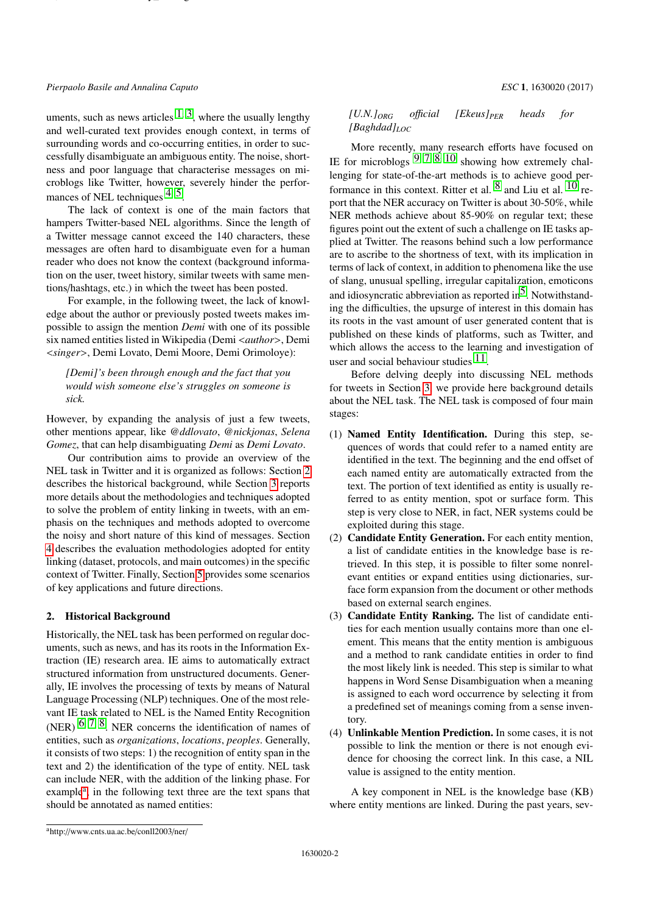$\mathcal{I}$  and 28, 2018 12:25 entity linking 28, 2018 12:25 entity linking 28, 2018 12:25 entity linking 2018 12:25 entity linking 2018 12:25 entity linking 2018 12:25 entity linking 2018 12:25 entity linking 2018 12:25 ent

uments, such as news articles  $1: 3$  $1: 3$ , where the usually lengthy and well-curated text provides enough context, in terms of surrounding words and co-occurring entities, in order to successfully disambiguate an ambiguous entity. The noise, shortness and poor language that characterise messages on microblogs like Twitter, however, severely hinder the perfor-mances of NEL techniques <sup>[4](#page-6-4)</sup>; <sup>5</sup>.

The lack of context is one of the main factors that hampers Twitter-based NEL algorithms. Since the length of a Twitter message cannot exceed the 140 characters, these messages are often hard to disambiguate even for a human reader who does not know the context (background information on the user, tweet history, similar tweets with same mentions/hashtags, etc.) in which the tweet has been posted.

For example, in the following tweet, the lack of knowledge about the author or previously posted tweets makes impossible to assign the mention *Demi* with one of its possible six named entities listed in Wikipedia (Demi <*author*>, Demi <*singer*>, Demi Lovato, Demi Moore, Demi Orimoloye):

*[Demi]'s been through enough and the fact that you would wish someone else's struggles on someone is sick.*

However, by expanding the analysis of just a few tweets, other mentions appear, like *@ddlovato*, *@nickjonas*, *Selena Gomez*, that can help disambiguating *Demi* as *Demi Lovato*.

Our contribution aims to provide an overview of the NEL task in Twitter and it is organized as follows: Section [2](#page-1-0) describes the historical background, while Section [3](#page-3-0) reports more details about the methodologies and techniques adopted to solve the problem of entity linking in tweets, with an emphasis on the techniques and methods adopted to overcome the noisy and short nature of this kind of messages. Section [4](#page-5-0) describes the evaluation methodologies adopted for entity linking (dataset, protocols, and main outcomes) in the specific context of Twitter. Finally, Section [5](#page-5-1) provides some scenarios of key applications and future directions.

## <span id="page-1-0"></span>2. Historical Background

Historically, the NEL task has been performed on regular documents, such as news, and has its roots in the Information Extraction (IE) research area. IE aims to automatically extract structured information from unstructured documents. Generally, IE involves the processing of texts by means of Natural Language Processing (NLP) techniques. One of the most relevant IE task related to NEL is the Named Entity Recognition (NER)  $6$ ; [7](#page-6-7); [8.](#page-6-8) NER concerns the identification of names of entities, such as *organizations*, *locations*, *peoples*. Generally, it consists of two steps: 1) the recognition of entity span in the text and 2) the identification of the type of entity. NEL task can include NER, with the addition of the linking phase. For ex[a](#page-1-1)mple<sup>a</sup>, in the following text three are the text spans that should be annotated as named entities:

# *[U.N.]ORG o*ffi*cial [Ekeus]PER heads for [Baghdad]LOC*

More recently, many research efforts have focused on IE for microblogs  $9:7:8:10$  $9:7:8:10$  $9:7:8:10$  $9:7:8:10$  $9:7:8:10$  $9:7:8:10$  $9:7:8:10$  showing how extremely challenging for state-of-the-art methods is to achieve good performance in this context. Ritter et al.  $^8$  $^8$  and Liu et al.  $^{10}$  $^{10}$  $^{10}$  report that the NER accuracy on Twitter is about 30-50%, while NER methods achieve about 85-90% on regular text; these figures point out the extent of such a challenge on IE tasks applied at Twitter. The reasons behind such a low performance are to ascribe to the shortness of text, with its implication in terms of lack of context, in addition to phenomena like the use of slang, unusual spelling, irregular capitalization, emoticons and idiosyncratic abbreviation as reported in<sup>5</sup>. Notwithstanding the difficulties, the upsurge of interest in this domain has its roots in the vast amount of user generated content that is published on these kinds of platforms, such as Twitter, and which allows the access to the learning and investigation of user and social behaviour studies  $^{11}$ .

Before delving deeply into discussing NEL methods for tweets in Section [3,](#page-3-0) we provide here background details about the NEL task. The NEL task is composed of four main stages:

- (1) Named Entity Identification. During this step, sequences of words that could refer to a named entity are identified in the text. The beginning and the end offset of each named entity are automatically extracted from the text. The portion of text identified as entity is usually referred to as entity mention, spot or surface form. This step is very close to NER, in fact, NER systems could be exploited during this stage.
- (2) Candidate Entity Generation. For each entity mention, a list of candidate entities in the knowledge base is retrieved. In this step, it is possible to filter some nonrelevant entities or expand entities using dictionaries, surface form expansion from the document or other methods based on external search engines.
- (3) Candidate Entity Ranking. The list of candidate entities for each mention usually contains more than one element. This means that the entity mention is ambiguous and a method to rank candidate entities in order to find the most likely link is needed. This step is similar to what happens in Word Sense Disambiguation when a meaning is assigned to each word occurrence by selecting it from a predefined set of meanings coming from a sense inventory.
- (4) Unlinkable Mention Prediction. In some cases, it is not possible to link the mention or there is not enough evidence for choosing the correct link. In this case, a NIL value is assigned to the entity mention.

A key component in NEL is the knowledge base (KB) where entity mentions are linked. During the past years, sev-

<span id="page-1-1"></span><sup>a</sup>http://www.cnts.ua.ac.be/conll2003/ner/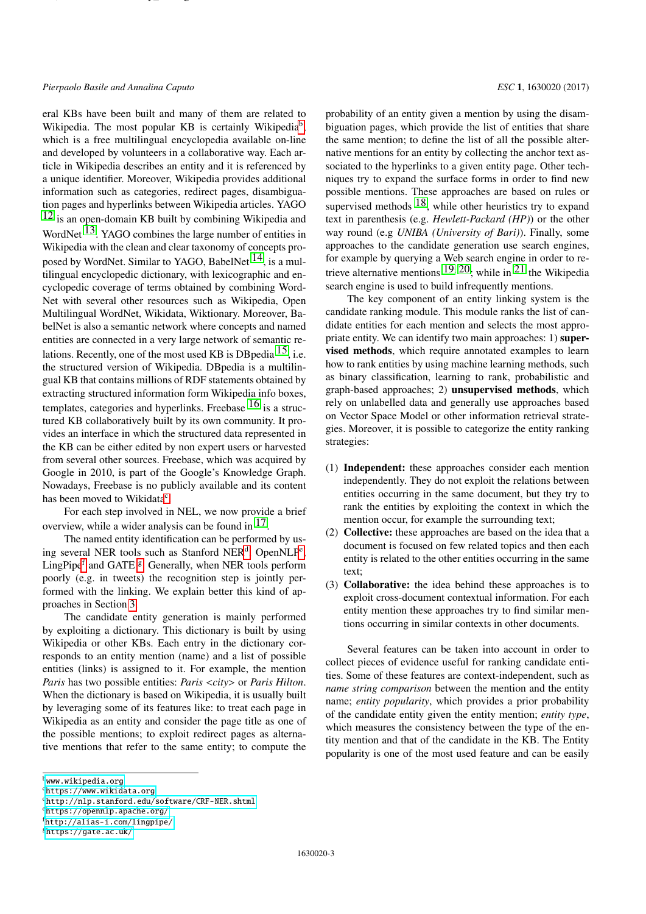$\mathcal{I}$  and 28, 2018 12:25 entity linking 28, 2018 12:25 entity linking 28, 2018 12:25 entity linking 2018 12:25 entity linking 2018 12:25 entity linking 2018 12:25 entity linking 2018 12:25 entity linking 2018 12:25 ent

eral KBs have been built and many of them are related to Wikipedia. The most popular KB is certainly Wikipedia<sup>[b](#page-2-0)</sup>, which is a free multilingual encyclopedia available on-line and developed by volunteers in a collaborative way. Each article in Wikipedia describes an entity and it is referenced by a unique identifier. Moreover, Wikipedia provides additional information such as categories, redirect pages, disambiguation pages and hyperlinks between Wikipedia articles. YAGO <sup>[12](#page-6-12)</sup> is an open-domain KB built by combining Wikipedia and WordNet <sup>13</sup>. YAGO combines the large number of entities in Wikipedia with the clean and clear taxonomy of concepts proposed by WordNet. Similar to YAGO, BabelNet <sup>14</sup>, is a multilingual encyclopedic dictionary, with lexicographic and encyclopedic coverage of terms obtained by combining Word-Net with several other resources such as Wikipedia, Open Multilingual WordNet, Wikidata, Wiktionary. Moreover, BabelNet is also a semantic network where concepts and named entities are connected in a very large network of semantic relations. Recently, one of the most used KB is DB pedia  $^{15}$ , i.e. the structured version of Wikipedia. DBpedia is a multilingual KB that contains millions of RDF statements obtained by extracting structured information form Wikipedia info boxes, templates, categories and hyperlinks. Freebase  $16$  is a structured KB collaboratively built by its own community. It provides an interface in which the structured data represented in the KB can be either edited by non expert users or harvested from several other sources. Freebase, which was acquired by Google in 2010, is part of the Google's Knowledge Graph. Nowadays, Freebase is no publicly available and its content has been moved to Wikidata<sup>[c](#page-2-1)</sup>.

For each step involved in NEL, we now provide a brief overview, while a wider analysis can be found in  $17$ .

The named entity identification can be performed by using several NER tools such as Stanfor[d](#page-2-2) NER<sup>d</sup>, Op[e](#page-2-3)nNLP<sup>e</sup>, LingPipe<sup>[f](#page-2-4)</sup> and GATE<sup>[g](#page-2-5)</sup>. Generally, when NER tools perform poorly (e.g. in tweets) the recognition step is jointly performed with the linking. We explain better this kind of approaches in Section [3.](#page-3-0)

The candidate entity generation is mainly performed by exploiting a dictionary. This dictionary is built by using Wikipedia or other KBs. Each entry in the dictionary corresponds to an entity mention (name) and a list of possible entities (links) is assigned to it. For example, the mention *Paris* has two possible entities: *Paris* <*city*> or *Paris Hilton*. When the dictionary is based on Wikipedia, it is usually built by leveraging some of its features like: to treat each page in Wikipedia as an entity and consider the page title as one of the possible mentions; to exploit redirect pages as alternative mentions that refer to the same entity; to compute the

probability of an entity given a mention by using the disambiguation pages, which provide the list of entities that share the same mention; to define the list of all the possible alternative mentions for an entity by collecting the anchor text associated to the hyperlinks to a given entity page. Other techniques try to expand the surface forms in order to find new possible mentions. These approaches are based on rules or supervised methods  $18$ , while other heuristics try to expand text in parenthesis (e.g. *Hewlett-Packard (HP)*) or the other way round (e.g *UNIBA (University of Bari)*). Finally, some approaches to the candidate generation use search engines, for example by querying a Web search engine in order to retrieve alternative mentions  $19:20$  $19:20$ ; while in  $21$  the Wikipedia search engine is used to build infrequently mentions.

The key component of an entity linking system is the candidate ranking module. This module ranks the list of candidate entities for each mention and selects the most appropriate entity. We can identify two main approaches: 1) supervised methods, which require annotated examples to learn how to rank entities by using machine learning methods, such as binary classification, learning to rank, probabilistic and graph-based approaches; 2) unsupervised methods, which rely on unlabelled data and generally use approaches based on Vector Space Model or other information retrieval strategies. Moreover, it is possible to categorize the entity ranking strategies:

- (1) Independent: these approaches consider each mention independently. They do not exploit the relations between entities occurring in the same document, but they try to rank the entities by exploiting the context in which the mention occur, for example the surrounding text;
- (2) Collective: these approaches are based on the idea that a document is focused on few related topics and then each entity is related to the other entities occurring in the same text;
- (3) Collaborative: the idea behind these approaches is to exploit cross-document contextual information. For each entity mention these approaches try to find similar mentions occurring in similar contexts in other documents.

Several features can be taken into account in order to collect pieces of evidence useful for ranking candidate entities. Some of these features are context-independent, such as *name string comparison* between the mention and the entity name; *entity popularity*, which provides a prior probability of the candidate entity given the entity mention; *entity type*, which measures the consistency between the type of the entity mention and that of the candidate in the KB. The Entity popularity is one of the most used feature and can be easily

<span id="page-2-3"></span><sup>e</sup><https://opennlp.apache.org/>

<span id="page-2-4"></span><sup>f</sup><http://alias-i.com/lingpipe/>

<span id="page-2-0"></span>b<www.wikipedia.org>

<span id="page-2-1"></span><sup>c</sup><https://www.wikidata.org>

<span id="page-2-2"></span><sup>d</sup><http://nlp.stanford.edu/software/CRF-NER.shtml>

<span id="page-2-5"></span><sup>g</sup><https://gate.ac.uk/>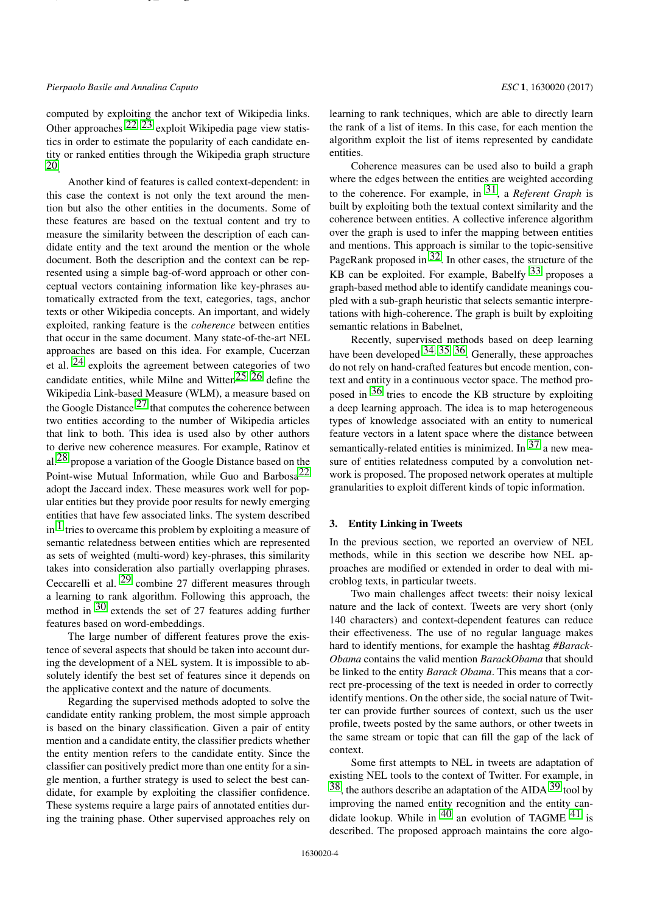$\mathcal{I}$  and 28, 2018 12:25 entity linking 28, 2018 12:25 entity linking 28, 2018 12:25 entity linking 2018 12:25 entity linking 2018 12:25 entity linking 2018 12:25 entity linking 2018 12:25 entity linking 2018 12:25 ent

computed by exploiting the anchor text of Wikipedia links. Other approaches  $22: 23$  $22: 23$  $22: 23$  exploit Wikipedia page view statistics in order to estimate the popularity of each candidate entity or ranked entities through the Wikipedia graph structure [20.](#page-6-20)

Another kind of features is called context-dependent: in this case the context is not only the text around the mention but also the other entities in the documents. Some of these features are based on the textual content and try to measure the similarity between the description of each candidate entity and the text around the mention or the whole document. Both the description and the context can be represented using a simple bag-of-word approach or other conceptual vectors containing information like key-phrases automatically extracted from the text, categories, tags, anchor texts or other Wikipedia concepts. An important, and widely exploited, ranking feature is the *coherence* between entities that occur in the same document. Many state-of-the-art NEL approaches are based on this idea. For example, Cucerzan et al. [24](#page-7-3) exploits the agreement between categories of two candidate entities, while Milne and Witten $25:26$  $25:26$  define the Wikipedia Link-based Measure (WLM), a measure based on the Google Distance  $27$  that computes the coherence between two entities according to the number of Wikipedia articles that link to both. This idea is used also by other authors to derive new coherence measures. For example, Ratinov et al.[28](#page-7-7) propose a variation of the Google Distance based on the Point-wise Mutual Information, while Guo and Barbosa[22](#page-7-1) adopt the Jaccard index. These measures work well for popular entities but they provide poor results for newly emerging entities that have few associated links. The system described in  $<sup>1</sup>$  $<sup>1</sup>$  $<sup>1</sup>$  tries to overcame this problem by exploiting a measure of</sup> semantic relatedness between entities which are represented as sets of weighted (multi-word) key-phrases, this similarity takes into consideration also partially overlapping phrases. Ceccarelli et al. [29](#page-7-8) combine 27 different measures through a learning to rank algorithm. Following this approach, the method in [30](#page-7-9) extends the set of 27 features adding further features based on word-embeddings.

The large number of different features prove the existence of several aspects that should be taken into account during the development of a NEL system. It is impossible to absolutely identify the best set of features since it depends on the applicative context and the nature of documents.

Regarding the supervised methods adopted to solve the candidate entity ranking problem, the most simple approach is based on the binary classification. Given a pair of entity mention and a candidate entity, the classifier predicts whether the entity mention refers to the candidate entity. Since the classifier can positively predict more than one entity for a single mention, a further strategy is used to select the best candidate, for example by exploiting the classifier confidence. These systems require a large pairs of annotated entities during the training phase. Other supervised approaches rely on

learning to rank techniques, which are able to directly learn the rank of a list of items. In this case, for each mention the algorithm exploit the list of items represented by candidate entities.

Coherence measures can be used also to build a graph where the edges between the entities are weighted according to the coherence. For example, in [31,](#page-7-10) a *Referent Graph* is built by exploiting both the textual context similarity and the coherence between entities. A collective inference algorithm over the graph is used to infer the mapping between entities and mentions. This approach is similar to the topic-sensitive PageRank proposed in  $32$ . In other cases, the structure of the KB can be exploited. For example, Babelfy [33](#page-7-12) proposes a graph-based method able to identify candidate meanings coupled with a sub-graph heuristic that selects semantic interpretations with high-coherence. The graph is built by exploiting semantic relations in Babelnet,

Recently, supervised methods based on deep learning have been developed  $34$ ;  $35$ ;  $36$ . Generally, these approaches do not rely on hand-crafted features but encode mention, context and entity in a continuous vector space. The method proposed in  $36$  tries to encode the KB structure by exploiting a deep learning approach. The idea is to map heterogeneous types of knowledge associated with an entity to numerical feature vectors in a latent space where the distance between semantically-related entities is minimized. In  $37$  a new measure of entities relatedness computed by a convolution network is proposed. The proposed network operates at multiple granularities to exploit different kinds of topic information.

## <span id="page-3-0"></span>3. Entity Linking in Tweets

In the previous section, we reported an overview of NEL methods, while in this section we describe how NEL approaches are modified or extended in order to deal with microblog texts, in particular tweets.

Two main challenges affect tweets: their noisy lexical nature and the lack of context. Tweets are very short (only 140 characters) and context-dependent features can reduce their effectiveness. The use of no regular language makes hard to identify mentions, for example the hashtag *#Barack-Obama* contains the valid mention *BarackObama* that should be linked to the entity *Barack Obama*. This means that a correct pre-processing of the text is needed in order to correctly identify mentions. On the other side, the social nature of Twitter can provide further sources of context, such us the user profile, tweets posted by the same authors, or other tweets in the same stream or topic that can fill the gap of the lack of context.

Some first attempts to NEL in tweets are adaptation of existing NEL tools to the context of Twitter. For example, in  $38$ , the authors describe an adaptation of the AIDA  $39$  tool by improving the named entity recognition and the entity candidate lookup. While in  $40$  an evolution of TAGME  $41$  is described. The proposed approach maintains the core algo-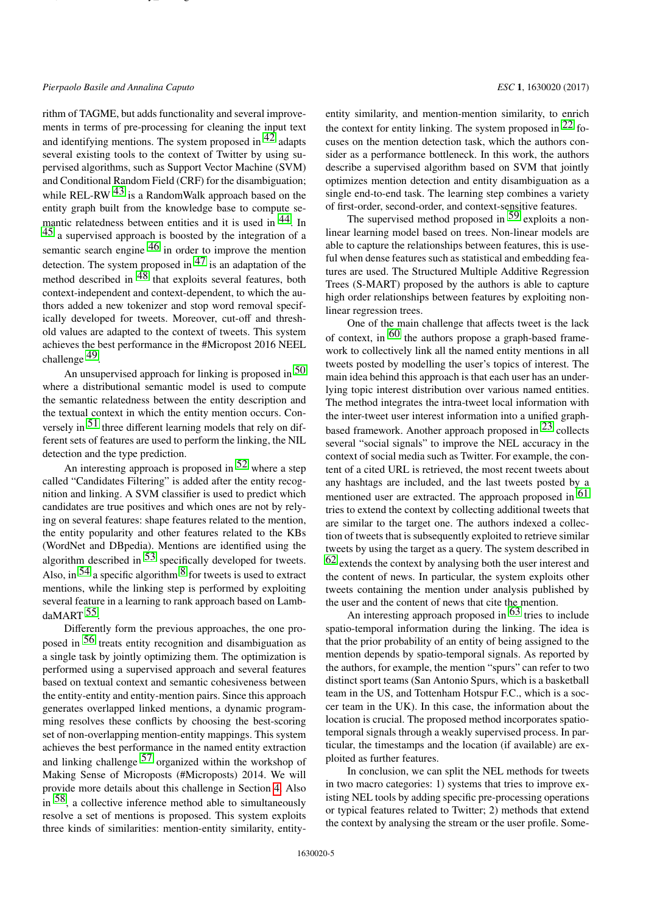$\mathcal{I}$  and 28, 2018 12:25 entity linking 28, 2018 12:25 entity linking 28, 2018 12:25 entity linking 2018 12:25 entity linking 2018 12:25 entity linking 2018 12:25 entity linking 2018 12:25 entity linking 2018 12:25 ent

rithm of TAGME, but adds functionality and several improvements in terms of pre-processing for cleaning the input text and identifying mentions. The system proposed in  $42$  adapts several existing tools to the context of Twitter by using supervised algorithms, such as Support Vector Machine (SVM) and Conditional Random Field (CRF) for the disambiguation; while REL-RW  $^{43}$  $^{43}$  $^{43}$  is a RandomWalk approach based on the entity graph built from the knowledge base to compute semantic relatedness between entities and it is used in [44.](#page-7-23) In [45](#page-7-24) a supervised approach is boosted by the integration of a semantic search engine  $46$  in order to improve the mention detection. The system proposed in  $47$  is an adaptation of the method described in <sup>[48](#page-7-27)</sup> that exploits several features, both context-independent and context-dependent, to which the authors added a new tokenizer and stop word removal specifically developed for tweets. Moreover, cut-off and threshold values are adapted to the context of tweets. This system achieves the best performance in the #Micropost 2016 NEEL challenge [49.](#page-7-28)

An unsupervised approach for linking is proposed in  $50$ where a distributional semantic model is used to compute the semantic relatedness between the entity description and the textual context in which the entity mention occurs. Conversely in [51](#page-7-30) three different learning models that rely on different sets of features are used to perform the linking, the NIL detection and the type prediction.

An interesting approach is proposed in  $52$  where a step called "Candidates Filtering" is added after the entity recognition and linking. A SVM classifier is used to predict which candidates are true positives and which ones are not by relying on several features: shape features related to the mention, the entity popularity and other features related to the KBs (WordNet and DBpedia). Mentions are identified using the algorithm described in  $\frac{53}{3}$  $\frac{53}{3}$  $\frac{53}{3}$  specifically developed for tweets. Also, in  $54$  a specific algorithm  $8$  for tweets is used to extract mentions, while the linking step is performed by exploiting several feature in a learning to rank approach based on LambdaMART [55.](#page-7-34)

Differently form the previous approaches, the one proposed in [56](#page-7-35) treats entity recognition and disambiguation as a single task by jointly optimizing them. The optimization is performed using a supervised approach and several features based on textual context and semantic cohesiveness between the entity-entity and entity-mention pairs. Since this approach generates overlapped linked mentions, a dynamic programming resolves these conflicts by choosing the best-scoring set of non-overlapping mention-entity mappings. This system achieves the best performance in the named entity extraction and linking challenge [57](#page-8-0) organized within the workshop of Making Sense of Microposts (#Microposts) 2014. We will provide more details about this challenge in Section [4.](#page-5-0) Also in  $58$ , a collective inference method able to simultaneously resolve a set of mentions is proposed. This system exploits three kinds of similarities: mention-entity similarity, entityentity similarity, and mention-mention similarity, to enrich the context for entity linking. The system proposed in  $22$  focuses on the mention detection task, which the authors consider as a performance bottleneck. In this work, the authors describe a supervised algorithm based on SVM that jointly optimizes mention detection and entity disambiguation as a single end-to-end task. The learning step combines a variety of first-order, second-order, and context-sensitive features.

The supervised method proposed in  $59$  exploits a nonlinear learning model based on trees. Non-linear models are able to capture the relationships between features, this is useful when dense features such as statistical and embedding features are used. The Structured Multiple Additive Regression Trees (S-MART) proposed by the authors is able to capture high order relationships between features by exploiting nonlinear regression trees.

One of the main challenge that affects tweet is the lack of context, in  $60$  the authors propose a graph-based framework to collectively link all the named entity mentions in all tweets posted by modelling the user's topics of interest. The main idea behind this approach is that each user has an underlying topic interest distribution over various named entities. The method integrates the intra-tweet local information with the inter-tweet user interest information into a unified graphbased framework. Another approach proposed in  $^{23}$  $^{23}$  $^{23}$  collects several "social signals" to improve the NEL accuracy in the context of social media such as Twitter. For example, the content of a cited URL is retrieved, the most recent tweets about any hashtags are included, and the last tweets posted by a mentioned user are extracted. The approach proposed in [61](#page-8-4) tries to extend the context by collecting additional tweets that are similar to the target one. The authors indexed a collection of tweets that is subsequently exploited to retrieve similar tweets by using the target as a query. The system described in [62](#page-8-5) extends the context by analysing both the user interest and the content of news. In particular, the system exploits other tweets containing the mention under analysis published by the user and the content of news that cite the mention.

An interesting approach proposed in  $63$  tries to include spatio-temporal information during the linking. The idea is that the prior probability of an entity of being assigned to the mention depends by spatio-temporal signals. As reported by the authors, for example, the mention "spurs" can refer to two distinct sport teams (San Antonio Spurs, which is a basketball team in the US, and Tottenham Hotspur F.C., which is a soccer team in the UK). In this case, the information about the location is crucial. The proposed method incorporates spatiotemporal signals through a weakly supervised process. In particular, the timestamps and the location (if available) are exploited as further features.

In conclusion, we can split the NEL methods for tweets in two macro categories: 1) systems that tries to improve existing NEL tools by adding specific pre-processing operations or typical features related to Twitter; 2) methods that extend the context by analysing the stream or the user profile. Some-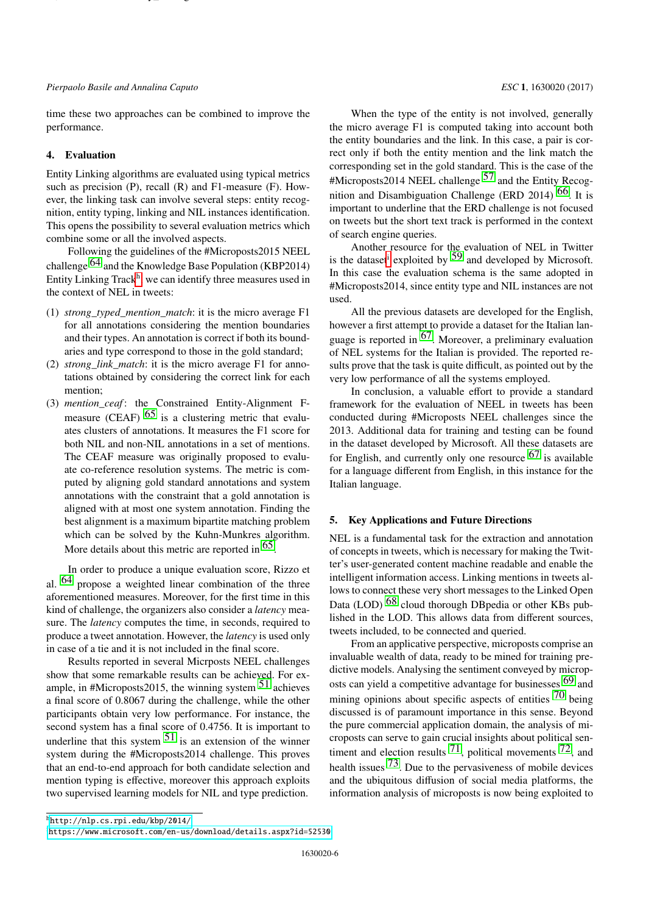$\mathcal{I}$  and 28, 2018 12:25 entity linking 28, 2018 12:25 entity linking 28, 2018 12:25 entity linking 2018 12:25 entity linking 2018 12:25 entity linking 2018 12:25 entity linking 2018 12:25 entity linking 2018 12:25 ent

time these two approaches can be combined to improve the performance.

# <span id="page-5-0"></span>4. Evaluation

Entity Linking algorithms are evaluated using typical metrics such as precision (P), recall (R) and F1-measure (F). However, the linking task can involve several steps: entity recognition, entity typing, linking and NIL instances identification. This opens the possibility to several evaluation metrics which combine some or all the involved aspects.

Following the guidelines of the #Microposts2015 NEEL challenge <sup>[64](#page-8-7)</sup> and the Knowledge Base Population (KBP2014) Entity Linking Track<sup>[h](#page-5-2)</sup>, we can identify three measures used in the context of NEL in tweets:

- (1) *strong\_typed\_mention\_match*: it is the micro average F1 for all annotations considering the mention boundaries and their types. An annotation is correct if both its boundaries and type correspond to those in the gold standard;
- (2) *strong\_link\_match*: it is the micro average F1 for annotations obtained by considering the correct link for each mention;
- (3) *mention\_ceaf* : the Constrained Entity-Alignment Fmeasure (CEAF)  $65$  is a clustering metric that evaluates clusters of annotations. It measures the F1 score for both NIL and non-NIL annotations in a set of mentions. The CEAF measure was originally proposed to evaluate co-reference resolution systems. The metric is computed by aligning gold standard annotations and system annotations with the constraint that a gold annotation is aligned with at most one system annotation. Finding the best alignment is a maximum bipartite matching problem which can be solved by the Kuhn-Munkres algorithm. More details about this metric are reported in <sup>65</sup>.

In order to produce a unique evaluation score, Rizzo et al.  $64$  propose a weighted linear combination of the three aforementioned measures. Moreover, for the first time in this kind of challenge, the organizers also consider a *latency* measure. The *latency* computes the time, in seconds, required to produce a tweet annotation. However, the *latency* is used only in case of a tie and it is not included in the final score.

Results reported in several Micrposts NEEL challenges show that some remarkable results can be achieved. For example, in #Microposts2015, the winning system  $51$  achieves a final score of 0.8067 during the challenge, while the other participants obtain very low performance. For instance, the second system has a final score of 0.4756. It is important to underline that this system  $51$  is an extension of the winner system during the #Microposts2014 challenge. This proves that an end-to-end approach for both candidate selection and mention typing is effective, moreover this approach exploits two supervised learning models for NIL and type prediction.

When the type of the entity is not involved, generally the micro average F1 is computed taking into account both the entity boundaries and the link. In this case, a pair is correct only if both the entity mention and the link match the corresponding set in the gold standard. This is the case of the #Microposts2014 NEEL challenge  $57$  and the Entity Recognition and Disambiguation Challenge (ERD 2014)  $66$ . It is important to underline that the ERD challenge is not focused on tweets but the short text track is performed in the context of search engine queries.

Another resource for the evaluation of NEL in Twitter [i](#page-5-3)s the dataset<sup>i</sup> exploited by  $59$  and developed by Microsoft. In this case the evaluation schema is the same adopted in #Microposts2014, since entity type and NIL instances are not used.

All the previous datasets are developed for the English, however a first attempt to provide a dataset for the Italian language is reported in [67.](#page-8-10) Moreover, a preliminary evaluation of NEL systems for the Italian is provided. The reported results prove that the task is quite difficult, as pointed out by the very low performance of all the systems employed.

In conclusion, a valuable effort to provide a standard framework for the evaluation of NEEL in tweets has been conducted during #Microposts NEEL challenges since the 2013. Additional data for training and testing can be found in the dataset developed by Microsoft. All these datasets are for English, and currently only one resource  $67$  is available for a language different from English, in this instance for the Italian language.

# <span id="page-5-1"></span>5. Key Applications and Future Directions

NEL is a fundamental task for the extraction and annotation of concepts in tweets, which is necessary for making the Twitter's user-generated content machine readable and enable the intelligent information access. Linking mentions in tweets allows to connect these very short messages to the Linked Open Data (LOD)  $^{68}$  $^{68}$  $^{68}$  cloud thorough DBpedia or other KBs published in the LOD. This allows data from different sources, tweets included, to be connected and queried.

From an applicative perspective, microposts comprise an invaluable wealth of data, ready to be mined for training predictive models. Analysing the sentiment conveyed by microposts can yield a competitive advantage for businesses [69](#page-8-12) and mining opinions about specific aspects of entities  $70$  being discussed is of paramount importance in this sense. Beyond the pure commercial application domain, the analysis of microposts can serve to gain crucial insights about political sentiment and election results  $71$ , political movements  $72$ , and health issues [73.](#page-8-16) Due to the pervasiveness of mobile devices and the ubiquitous diffusion of social media platforms, the information analysis of microposts is now being exploited to

<span id="page-5-2"></span><sup>h</sup><http://nlp.cs.rpi.edu/kbp/2014/>

<span id="page-5-3"></span><sup>i</sup><https://www.microsoft.com/en-us/download/details.aspx?id=52530>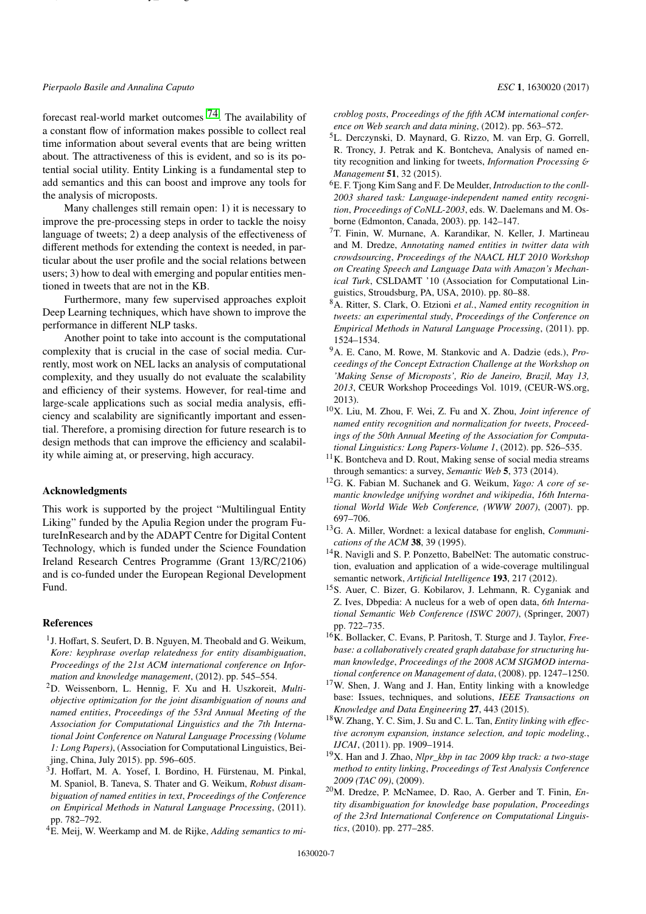$\mathcal{I}$  and 28, 2018 12:25 entity linking 28, 2018 12:25 entity linking 28, 2018 12:25 entity linking 2018 12:25 entity linking 2018 12:25 entity linking 2018 12:25 entity linking 2018 12:25 entity linking 2018 12:25 ent

forecast real-world market outcomes [74.](#page-8-17) The availability of a constant flow of information makes possible to collect real time information about several events that are being written about. The attractiveness of this is evident, and so is its potential social utility. Entity Linking is a fundamental step to add semantics and this can boost and improve any tools for the analysis of microposts.

Many challenges still remain open: 1) it is necessary to improve the pre-processing steps in order to tackle the noisy language of tweets; 2) a deep analysis of the effectiveness of different methods for extending the context is needed, in particular about the user profile and the social relations between users; 3) how to deal with emerging and popular entities mentioned in tweets that are not in the KB.

Furthermore, many few supervised approaches exploit Deep Learning techniques, which have shown to improve the performance in different NLP tasks.

Another point to take into account is the computational complexity that is crucial in the case of social media. Currently, most work on NEL lacks an analysis of computational complexity, and they usually do not evaluate the scalability and efficiency of their systems. However, for real-time and large-scale applications such as social media analysis, efficiency and scalability are significantly important and essential. Therefore, a promising direction for future research is to design methods that can improve the efficiency and scalability while aiming at, or preserving, high accuracy.

# Acknowledgments

This work is supported by the project "Multilingual Entity Liking" funded by the Apulia Region under the program FutureInResearch and by the ADAPT Centre for Digital Content Technology, which is funded under the Science Foundation Ireland Research Centres Programme (Grant 13/RC/2106) and is co-funded under the European Regional Development Fund.

#### <span id="page-6-0"></span>References

- <span id="page-6-1"></span><sup>1</sup> J. Hoffart, S. Seufert, D. B. Nguyen, M. Theobald and G. Weikum, *Kore: keyphrase overlap relatedness for entity disambiguation*, *Proceedings of the 21st ACM international conference on Information and knowledge management*, (2012). pp. 545–554.
- <span id="page-6-2"></span><sup>2</sup>D. Weissenborn, L. Hennig, F. Xu and H. Uszkoreit, *Multiobjective optimization for the joint disambiguation of nouns and named entities*, *Proceedings of the 53rd Annual Meeting of the Association for Computational Linguistics and the 7th International Joint Conference on Natural Language Processing (Volume 1: Long Papers)*, (Association for Computational Linguistics, Beijing, China, July 2015). pp. 596–605.
- <span id="page-6-3"></span>3 J. Hoffart, M. A. Yosef, I. Bordino, H. Fürstenau, M. Pinkal, M. Spaniol, B. Taneva, S. Thater and G. Weikum, *Robust disambiguation of named entities in text*, *Proceedings of the Conference on Empirical Methods in Natural Language Processing*, (2011). pp. 782–792.
- <span id="page-6-4"></span><sup>4</sup>E. Meij, W. Weerkamp and M. de Rijke, *Adding semantics to mi-*

*croblog posts*, *Proceedings of the fifth ACM international conference on Web search and data mining*, (2012). pp. 563–572.

- <span id="page-6-5"></span><sup>5</sup>L. Derczynski, D. Maynard, G. Rizzo, M. van Erp, G. Gorrell, R. Troncy, J. Petrak and K. Bontcheva, Analysis of named entity recognition and linking for tweets, *Information Processing* & *Management* 51, 32 (2015).
- <span id="page-6-6"></span><sup>6</sup>E. F. Tjong Kim Sang and F. De Meulder, *Introduction to the conll-2003 shared task: Language-independent named entity recognition*, *Proceedings of CoNLL-2003*, eds. W. Daelemans and M. Osborne (Edmonton, Canada, 2003). pp. 142–147.
- <span id="page-6-7"></span><sup>7</sup>T. Finin, W. Murnane, A. Karandikar, N. Keller, J. Martineau and M. Dredze, *Annotating named entities in twitter data with crowdsourcing*, *Proceedings of the NAACL HLT 2010 Workshop on Creating Speech and Language Data with Amazon's Mechanical Turk*, CSLDAMT '10 (Association for Computational Linguistics, Stroudsburg, PA, USA, 2010). pp. 80–88.
- <span id="page-6-8"></span><sup>8</sup>A. Ritter, S. Clark, O. Etzioni *et al.*, *Named entity recognition in tweets: an experimental study*, *Proceedings of the Conference on Empirical Methods in Natural Language Processing*, (2011). pp. 1524–1534.
- <span id="page-6-9"></span><sup>9</sup>A. E. Cano, M. Rowe, M. Stankovic and A. Dadzie (eds.), *Proceedings of the Concept Extraction Challenge at the Workshop on 'Making Sense of Microposts', Rio de Janeiro, Brazil, May 13, 2013*, CEUR Workshop Proceedings Vol. 1019, (CEUR-WS.org, 2013).
- <span id="page-6-10"></span><sup>10</sup>X. Liu, M. Zhou, F. Wei, Z. Fu and X. Zhou, *Joint inference of named entity recognition and normalization for tweets*, *Proceedings of the 50th Annual Meeting of the Association for Computational Linguistics: Long Papers-Volume 1*, (2012). pp. 526–535.
- <span id="page-6-11"></span><sup>11</sup>K. Bontcheva and D. Rout, Making sense of social media streams through semantics: a survey, *Semantic Web* 5, 373 (2014).
- <span id="page-6-12"></span><sup>12</sup>G. K. Fabian M. Suchanek and G. Weikum, *Yago: A core of semantic knowledge unifying wordnet and wikipedia*, *16th International World Wide Web Conference, (WWW 2007)*, (2007). pp. 697–706.
- <span id="page-6-13"></span><sup>13</sup>G. A. Miller, Wordnet: a lexical database for english, *Communications of the ACM* 38, 39 (1995).
- <span id="page-6-14"></span><sup>14</sup>R. Navigli and S. P. Ponzetto, BabelNet: The automatic construction, evaluation and application of a wide-coverage multilingual semantic network, *Artificial Intelligence* 193, 217 (2012).
- <span id="page-6-15"></span><sup>15</sup>S. Auer, C. Bizer, G. Kobilarov, J. Lehmann, R. Cyganiak and Z. Ives, Dbpedia: A nucleus for a web of open data, *6th International Semantic Web Conference (ISWC 2007)*, (Springer, 2007) pp. 722–735.
- <span id="page-6-16"></span><sup>16</sup>K. Bollacker, C. Evans, P. Paritosh, T. Sturge and J. Taylor, *Freebase: a collaboratively created graph database for structuring human knowledge*, *Proceedings of the 2008 ACM SIGMOD international conference on Management of data*, (2008). pp. 1247–1250.
- <span id="page-6-17"></span><sup>17</sup>W. Shen, J. Wang and J. Han, Entity linking with a knowledge base: Issues, techniques, and solutions, *IEEE Transactions on Knowledge and Data Engineering* 27, 443 (2015).
- <span id="page-6-18"></span><sup>18</sup>W. Zhang, Y. C. Sim, J. Su and C. L. Tan, *Entity linking with e*ff*ective acronym expansion, instance selection, and topic modeling.*, *IJCAI*, (2011). pp. 1909–1914.
- <span id="page-6-19"></span><sup>19</sup>X. Han and J. Zhao, *Nlpr\_kbp in tac 2009 kbp track: a two-stage method to entity linking*, *Proceedings of Test Analysis Conference 2009 (TAC 09)*, (2009).
- <span id="page-6-20"></span><sup>20</sup>M. Dredze, P. McNamee, D. Rao, A. Gerber and T. Finin, *Entity disambiguation for knowledge base population*, *Proceedings of the 23rd International Conference on Computational Linguistics*, (2010). pp. 277–285.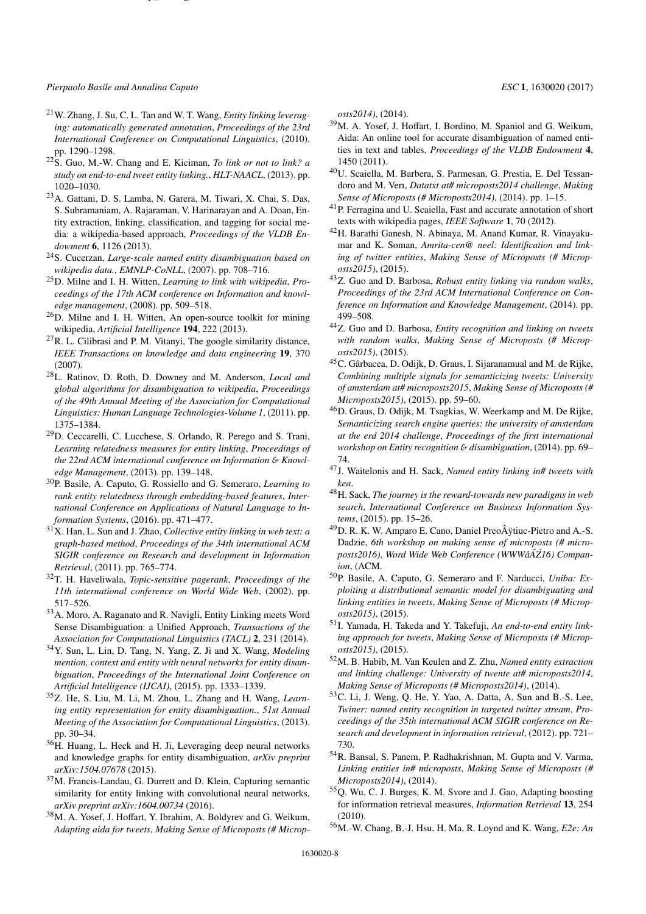$\mathcal{I}$  and 28, 2018 12:25 entity linking 28, 2018 12:25 entity linking 28, 2018 12:25 entity linking 2018 12:25 entity linking 2018 12:25 entity linking 2018 12:25 entity linking 2018 12:25 entity linking 2018 12:25 ent

- <span id="page-7-0"></span><sup>21</sup>W. Zhang, J. Su, C. L. Tan and W. T. Wang, *Entity linking leveraging: automatically generated annotation*, *Proceedings of the 23rd International Conference on Computational Linguistics*, (2010). pp. 1290–1298.
- <span id="page-7-1"></span><sup>22</sup>S. Guo, M.-W. Chang and E. Kiciman, *To link or not to link? a study on end-to-end tweet entity linking.*, *HLT-NAACL*, (2013). pp. 1020–1030.
- <span id="page-7-2"></span><sup>23</sup>A. Gattani, D. S. Lamba, N. Garera, M. Tiwari, X. Chai, S. Das, S. Subramaniam, A. Rajaraman, V. Harinarayan and A. Doan, Entity extraction, linking, classification, and tagging for social media: a wikipedia-based approach, *Proceedings of the VLDB Endowment* 6, 1126 (2013).
- <span id="page-7-3"></span><sup>24</sup>S. Cucerzan, *Large-scale named entity disambiguation based on wikipedia data.*, *EMNLP-CoNLL*, (2007). pp. 708–716.
- <span id="page-7-4"></span><sup>25</sup>D. Milne and I. H. Witten, *Learning to link with wikipedia*, *Proceedings of the 17th ACM conference on Information and knowledge management*, (2008). pp. 509–518.
- <span id="page-7-5"></span><sup>26</sup>D. Milne and I. H. Witten, An open-source toolkit for mining wikipedia, *Artificial Intelligence* 194, 222 (2013).
- <span id="page-7-6"></span> $27R$ . L. Cilibrasi and P. M. Vitanyi, The google similarity distance, *IEEE Transactions on knowledge and data engineering* 19, 370 (2007).
- <span id="page-7-7"></span><sup>28</sup>L. Ratinov, D. Roth, D. Downey and M. Anderson, *Local and global algorithms for disambiguation to wikipedia*, *Proceedings of the 49th Annual Meeting of the Association for Computational Linguistics: Human Language Technologies-Volume 1*, (2011). pp. 1375–1384.
- <span id="page-7-8"></span><sup>29</sup>D. Ceccarelli, C. Lucchese, S. Orlando, R. Perego and S. Trani, *Learning relatedness measures for entity linking*, *Proceedings of the 22nd ACM international conference on Information* & *Knowledge Management*, (2013). pp. 139–148.
- <span id="page-7-9"></span><sup>30</sup>P. Basile, A. Caputo, G. Rossiello and G. Semeraro, *Learning to rank entity relatedness through embedding-based features*, *International Conference on Applications of Natural Language to Information Systems*, (2016). pp. 471–477.
- <span id="page-7-10"></span><sup>31</sup>X. Han, L. Sun and J. Zhao, *Collective entity linking in web text: a graph-based method*, *Proceedings of the 34th international ACM SIGIR conference on Research and development in Information Retrieval*, (2011). pp. 765–774.
- <span id="page-7-11"></span><sup>32</sup>T. H. Haveliwala, *Topic-sensitive pagerank*, *Proceedings of the 11th international conference on World Wide Web*, (2002). pp. 517–526.
- <span id="page-7-12"></span><sup>33</sup>A. Moro, A. Raganato and R. Navigli, Entity Linking meets Word Sense Disambiguation: a Unified Approach, *Transactions of the Association for Computational Linguistics (TACL)* 2, 231 (2014).
- <span id="page-7-13"></span><sup>34</sup>Y. Sun, L. Lin, D. Tang, N. Yang, Z. Ji and X. Wang, *Modeling mention, context and entity with neural networks for entity disambiguation*, *Proceedings of the International Joint Conference on Artificial Intelligence (IJCAI)*, (2015). pp. 1333–1339.
- <span id="page-7-14"></span><sup>35</sup>Z. He, S. Liu, M. Li, M. Zhou, L. Zhang and H. Wang, *Learning entity representation for entity disambiguation.*, *51st Annual Meeting of the Association for Computational Linguistics*, (2013). pp. 30–34.
- <span id="page-7-15"></span><sup>36</sup>H. Huang, L. Heck and H. Ji, Leveraging deep neural networks and knowledge graphs for entity disambiguation, *arXiv preprint arXiv:1504.07678* (2015).
- <span id="page-7-16"></span><sup>37</sup>M. Francis-Landau, G. Durrett and D. Klein, Capturing semantic similarity for entity linking with convolutional neural networks, *arXiv preprint arXiv:1604.00734* (2016).
- <span id="page-7-17"></span><sup>38</sup>M. A. Yosef, J. Hoffart, Y. Ibrahim, A. Boldyrev and G. Weikum, *Adapting aida for tweets*, *Making Sense of Microposts (# Microp-*

*osts2014)*, (2014).

- <span id="page-7-18"></span><sup>39</sup>M. A. Yosef, J. Hoffart, I. Bordino, M. Spaniol and G. Weikum, Aida: An online tool for accurate disambiguation of named entities in text and tables, *Proceedings of the VLDB Endowment* 4, 1450 (2011).
- <span id="page-7-19"></span><sup>40</sup>U. Scaiella, M. Barbera, S. Parmesan, G. Prestia, E. Del Tessandoro and M. Verı, *Datatxt at# microposts2014 challenge*, *Making Sense of Microposts (# Microposts2014)*, (2014). pp. 1–15.
- <span id="page-7-20"></span><sup>41</sup>P. Ferragina and U. Scaiella, Fast and accurate annotation of short texts with wikipedia pages, *IEEE Software* 1, 70 (2012).
- <span id="page-7-21"></span><sup>42</sup>H. Barathi Ganesh, N. Abinaya, M. Anand Kumar, R. Vinayakumar and K. Soman, *Amrita-cen@ neel: Identification and linking of twitter entities*, *Making Sense of Microposts (# Microposts2015)*, (2015).
- <span id="page-7-22"></span><sup>43</sup>Z. Guo and D. Barbosa, *Robust entity linking via random walks*, *Proceedings of the 23rd ACM International Conference on Conference on Information and Knowledge Management*, (2014). pp. 499–508.
- <span id="page-7-23"></span><sup>44</sup>Z. Guo and D. Barbosa, *Entity recognition and linking on tweets with random walks*, *Making Sense of Microposts (# Microposts2015)*, (2015).
- <span id="page-7-24"></span><sup>45</sup>C. Gârbacea, D. Odijk, D. Graus, I. Sijaranamual and M. de Rijke, *Combining multiple signals for semanticizing tweets: University of amsterdam at# microposts2015*, *Making Sense of Microposts (# Microposts2015)*, (2015). pp. 59–60.
- <span id="page-7-25"></span><sup>46</sup>D. Graus, D. Odijk, M. Tsagkias, W. Weerkamp and M. De Rijke, *Semanticizing search engine queries: the university of amsterdam at the erd 2014 challenge*, *Proceedings of the first international workshop on Entity recognition* & *disambiguation*, (2014). pp. 69– 74.
- <span id="page-7-26"></span><sup>47</sup>J. Waitelonis and H. Sack, *Named entity linking in# tweets with kea*.
- <span id="page-7-27"></span><sup>48</sup>H. Sack, *The journey is the reward-towards new paradigms in web search*, *International Conference on Business Information Systems*, (2015). pp. 15–26.
- <span id="page-7-28"></span><sup>49</sup>D. R. K. W. Amparo E. Cano, Daniel PreoÂÿtiuc-Pietro and A.-S. Dadzie, *6th workshop on making sense of microposts (# microposts2016)*, *Word Wide Web Conference (WWWâA˘Z16) Compan- ´ ion*, (ACM.
- <span id="page-7-29"></span><sup>50</sup>P. Basile, A. Caputo, G. Semeraro and F. Narducci, *Uniba: Exploiting a distributional semantic model for disambiguating and linking entities in tweets*, *Making Sense of Microposts (# Microposts2015)*, (2015).
- <span id="page-7-30"></span><sup>51</sup>I. Yamada, H. Takeda and Y. Takefuji, *An end-to-end entity linking approach for tweets*, *Making Sense of Microposts (# Microposts2015)*, (2015).
- <span id="page-7-31"></span><sup>52</sup>M. B. Habib, M. Van Keulen and Z. Zhu, *Named entity extraction and linking challenge: University of twente at# microposts2014*, *Making Sense of Microposts (# Microposts2014)*, (2014).
- <span id="page-7-32"></span><sup>53</sup>C. Li, J. Weng, Q. He, Y. Yao, A. Datta, A. Sun and B.-S. Lee, *Twiner: named entity recognition in targeted twitter stream*, *Proceedings of the 35th international ACM SIGIR conference on Research and development in information retrieval*, (2012). pp. 721– 730.
- <span id="page-7-33"></span><sup>54</sup>R. Bansal, S. Panem, P. Radhakrishnan, M. Gupta and V. Varma, *Linking entities in# microposts*, *Making Sense of Microposts (# Microposts2014)*, (2014).
- <span id="page-7-34"></span><sup>55</sup>Q. Wu, C. J. Burges, K. M. Svore and J. Gao, Adapting boosting for information retrieval measures, *Information Retrieval* 13, 254 (2010).
- <span id="page-7-35"></span><sup>56</sup>M.-W. Chang, B.-J. Hsu, H. Ma, R. Loynd and K. Wang, *E2e: An*